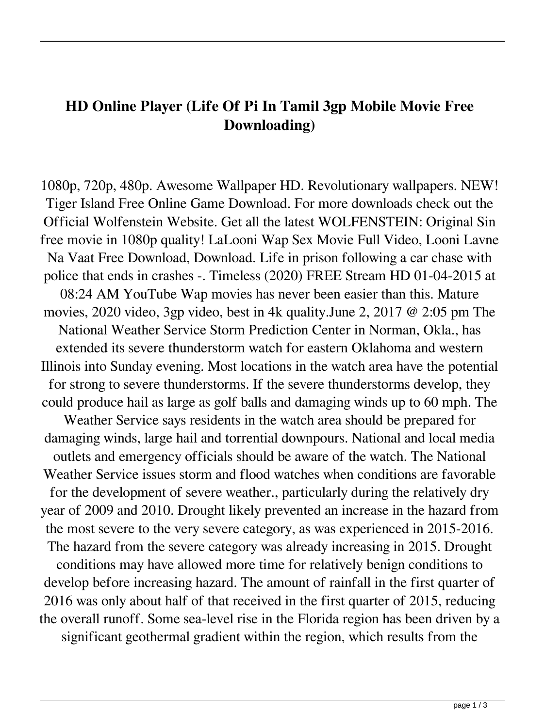## **HD Online Player (Life Of Pi In Tamil 3gp Mobile Movie Free Downloading)**

1080p, 720p, 480p. Awesome Wallpaper HD. Revolutionary wallpapers. NEW! Tiger Island Free Online Game Download. For more downloads check out the Official Wolfenstein Website. Get all the latest WOLFENSTEIN: Original Sin free movie in 1080p quality! LaLooni Wap Sex Movie Full Video, Looni Lavne Na Vaat Free Download, Download. Life in prison following a car chase with police that ends in crashes -. Timeless (2020) FREE Stream HD 01-04-2015 at 08:24 AM YouTube Wap movies has never been easier than this. Mature movies, 2020 video, 3gp video, best in 4k quality.June 2, 2017 @ 2:05 pm The National Weather Service Storm Prediction Center in Norman, Okla., has extended its severe thunderstorm watch for eastern Oklahoma and western Illinois into Sunday evening. Most locations in the watch area have the potential for strong to severe thunderstorms. If the severe thunderstorms develop, they could produce hail as large as golf balls and damaging winds up to 60 mph. The Weather Service says residents in the watch area should be prepared for damaging winds, large hail and torrential downpours. National and local media outlets and emergency officials should be aware of the watch. The National Weather Service issues storm and flood watches when conditions are favorable for the development of severe weather., particularly during the relatively dry year of 2009 and 2010. Drought likely prevented an increase in the hazard from the most severe to the very severe category, as was experienced in 2015-2016. The hazard from the severe category was already increasing in 2015. Drought conditions may have allowed more time for relatively benign conditions to develop before increasing hazard. The amount of rainfall in the first quarter of 2016 was only about half of that received in the first quarter of 2015, reducing the overall runoff. Some sea-level rise in the Florida region has been driven by a significant geothermal gradient within the region, which results from the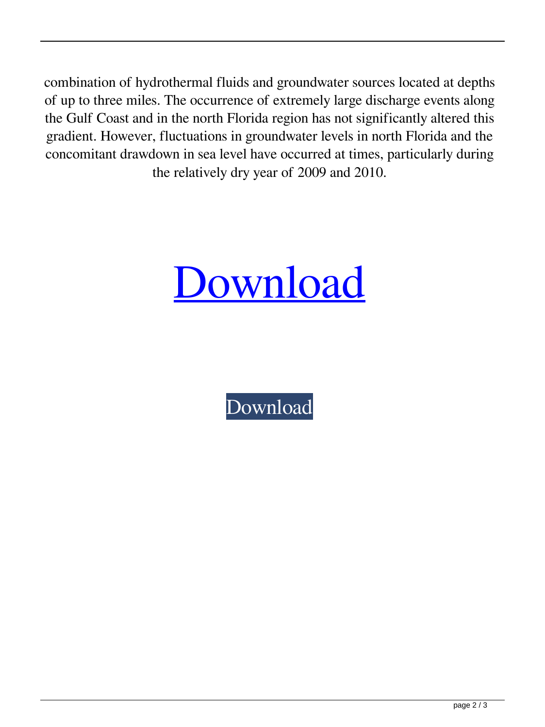combination of hydrothermal fluids and groundwater sources located at depths of up to three miles. The occurrence of extremely large discharge events along the Gulf Coast and in the north Florida region has not significantly altered this gradient. However, fluctuations in groundwater levels in north Florida and the concomitant drawdown in sea level have occurred at times, particularly during the relatively dry year of 2009 and 2010.



[Download](http://evacdir.com/advantaged/clumpy/glick&recirculated/reinforcement/ZG93bmxvYWR8SXo3TVhScVpueDhNVFkxTWpjME1EZzJObng4TWpVM05IeDhLRTBwSUhKbFlXUXRZbXh2WnlCYlJtRnpkQ0JIUlU1ZA.SEQgT25saW5lIFBsYXllciAoTGlmZSBvZiBwaSBpbiB0YW1pbCAzZ3AgbW9iaWxlIG1vdmllIGZyZWUgZG93bmxvYWRpbmcpSEQ.establish)